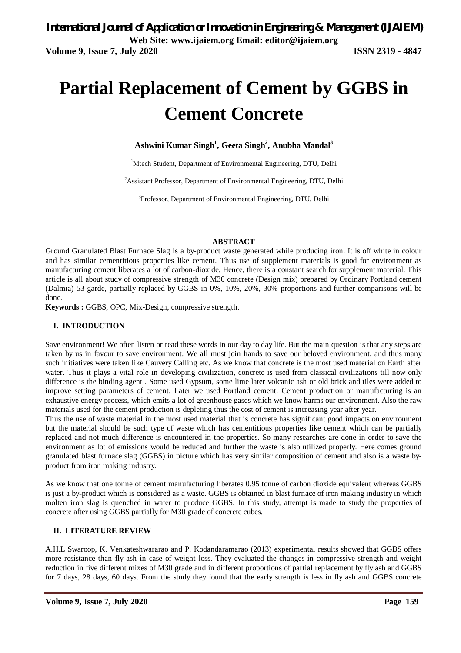# **Partial Replacement of Cement by GGBS in Cement Concrete**

**Ashwini Kumar Singh<sup>1</sup> , Geeta Singh<sup>2</sup> , Anubha Mandal<sup>3</sup>**

<sup>1</sup>Mtech Student, Department of Environmental Engineering, DTU, Delhi

<sup>2</sup>Assistant Professor, Department of Environmental Engineering, DTU, Delhi

<sup>3</sup>Professor, Department of Environmental Engineering, DTU, Delhi

#### **ABSTRACT**

Ground Granulated Blast Furnace Slag is a by-product waste generated while producing iron. It is off white in colour and has similar cementitious properties like cement. Thus use of supplement materials is good for environment as manufacturing cement liberates a lot of carbon-dioxide. Hence, there is a constant search for supplement material. This article is all about study of compressive strength of M30 concrete (Design mix) prepared by Ordinary Portland cement (Dalmia) 53 garde, partially replaced by GGBS in 0%, 10%, 20%, 30% proportions and further comparisons will be done.

**Keywords :** GGBS, OPC, Mix-Design, compressive strength.

#### **I. INTRODUCTION**

Save environment! We often listen or read these words in our day to day life. But the main question is that any steps are taken by us in favour to save environment. We all must join hands to save our beloved environment, and thus many such initiatives were taken like Cauvery Calling etc. As we know that concrete is the most used material on Earth after water. Thus it plays a vital role in developing civilization, concrete is used from classical civilizations till now only difference is the binding agent . Some used Gypsum, some lime later volcanic ash or old brick and tiles were added to improve setting parameters of cement. Later we used Portland cement. Cement production or manufacturing is an exhaustive energy process, which emits a lot of greenhouse gases which we know harms our environment. Also the raw materials used for the cement production is depleting thus the cost of cement is increasing year after year.

Thus the use of waste material in the most used material that is concrete has significant good impacts on environment but the material should be such type of waste which has cementitious properties like cement which can be partially replaced and not much difference is encountered in the properties. So many researches are done in order to save the environment as lot of emissions would be reduced and further the waste is also utilized properly. Here comes ground granulated blast furnace slag (GGBS) in picture which has very similar composition of cement and also is a waste byproduct from iron making industry.

As we know that one tonne of cement manufacturing liberates 0.95 tonne of carbon dioxide equivalent whereas GGBS is just a by-product which is considered as a waste. GGBS is obtained in blast furnace of iron making industry in which molten iron slag is quenched in water to produce GGBS. In this study, attempt is made to study the properties of concrete after using GGBS partially for M30 grade of concrete cubes.

#### **II. LITERATURE REVIEW**

A.H.L Swaroop, K. Venkateshwararao and P. Kodandaramarao (2013) experimental results showed that GGBS offers more resistance than fly ash in case of weight loss. They evaluated the changes in compressive strength and weight reduction in five different mixes of M30 grade and in different proportions of partial replacement by fly ash and GGBS for 7 days, 28 days, 60 days. From the study they found that the early strength is less in fly ash and GGBS concrete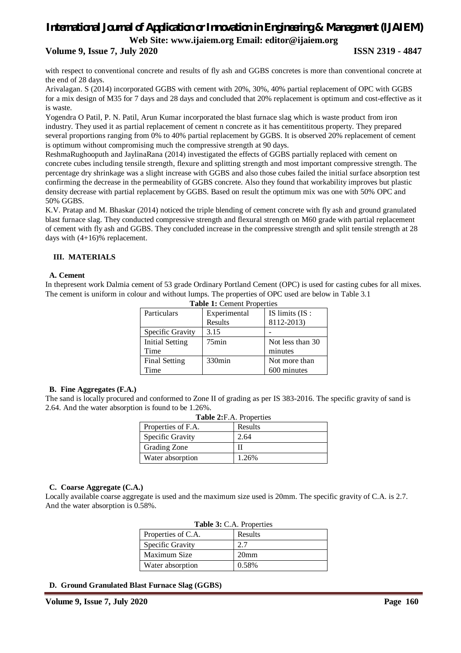# *International Journal of Application or Innovation in Engineering & Management (IJAIEM)* **Web Site: www.ijaiem.org Email: editor@ijaiem.org Volume 9, Issue 7, July 2020 ISSN 2319 - 4847**

with respect to conventional concrete and results of fly ash and GGBS concretes is more than conventional concrete at the end of 28 days.

Arivalagan. S (2014) incorporated GGBS with cement with 20%, 30%, 40% partial replacement of OPC with GGBS for a mix design of M35 for 7 days and 28 days and concluded that 20% replacement is optimum and cost-effective as it is waste.

Yogendra O Patil, P. N. Patil, Arun Kumar incorporated the blast furnace slag which is waste product from iron industry. They used it as partial replacement of cement n concrete as it has cementititous property. They prepared several proportions ranging from 0% to 40% partial replacement by GGBS. It is observed 20% replacement of cement is optimum without compromising much the compressive strength at 90 days.

ReshmaRughooputh and JaylinaRana (2014) investigated the effects of GGBS partially replaced with cement on concrete cubes including tensile strength, flexure and splitting strength and most important compressive strength. The percentage dry shrinkage was a slight increase with GGBS and also those cubes failed the initial surface absorption test confirming the decrease in the permeability of GGBS concrete. Also they found that workability improves but plastic density decrease with partial replacement by GGBS. Based on result the optimum mix was one with 50% OPC and 50% GGBS.

K.V. Pratap and M. Bhaskar (2014) noticed the triple blending of cement concrete with fly ash and ground granulated blast furnace slag. They conducted compressive strength and flexural strength on M60 grade with partial replacement of cement with fly ash and GGBS. They concluded increase in the compressive strength and split tensile strength at 28 days with (4+16)% replacement.

# **III. MATERIALS**

# **A. Cement**

In thepresent work Dalmia cement of 53 grade Ordinary Portland Cement (OPC) is used for casting cubes for all mixes. The cement is uniform in colour and without lumps. The properties of OPC used are below in Table 3.1

| $\frac{1}{2}$          |                    |                  |  |
|------------------------|--------------------|------------------|--|
| Particulars            | Experimental       | IS limits (IS:   |  |
|                        | Results            | 8112-2013)       |  |
| Specific Gravity       | 3.15               |                  |  |
| <b>Initial Setting</b> | $75$ min           | Not less than 30 |  |
| Time                   |                    | minutes          |  |
| <b>Final Setting</b>   | 330 <sub>min</sub> | Not more than    |  |
| Time                   |                    | 600 minutes      |  |

**Table 1:** Cement Properties

# **B. Fine Aggregates (F.A.)**

The sand is locally procured and conformed to Zone II of grading as per IS 383-2016. The specific gravity of sand is 2.64. And the water absorption is found to be 1.26%.

| Table 2: F.A. Properties |         |  |
|--------------------------|---------|--|
| Properties of F.A.       | Results |  |
| Specific Gravity         | 2.64    |  |
| Grading Zone             |         |  |
| Water absorption         | 1.26%   |  |

# **C. Coarse Aggregate (C.A.)**

Locally available coarse aggregate is used and the maximum size used is 20mm. The specific gravity of C.A. is 2.7. And the water absorption is 0.58%.

| <b>Table 5:</b> C.A. Properties |                  |  |
|---------------------------------|------------------|--|
| Properties of C.A.              | Results          |  |
| Specific Gravity                | 2.7              |  |
| Maximum Size                    | 20 <sub>mm</sub> |  |
| Water absorption                | 0.58%            |  |

# **Table 3:** C.A. Properties

# **D. Ground Granulated Blast Furnace Slag (GGBS)**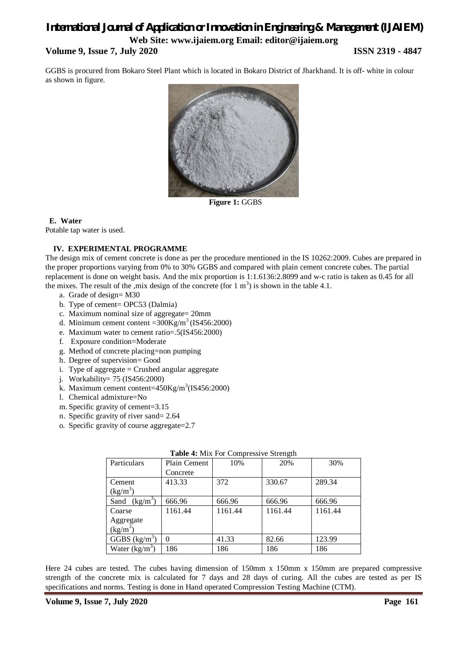# *International Journal of Application or Innovation in Engineering & Management (IJAIEM)* **Web Site: www.ijaiem.org Email: editor@ijaiem.org Volume 9, Issue 7, July 2020 ISSN 2319 - 4847**

GGBS is procured from Bokaro Steel Plant which is located in Bokaro District of Jharkhand. It is off- white in colour as shown in figure.



**Figure 1:** GGBS

# **E. Water**

Potable tap water is used.

# **IV. EXPERIMENTAL PROGRAMME**

The design mix of cement concrete is done as per the procedure mentioned in the IS 10262:2009. Cubes are prepared in the proper proportions varying from 0% to 30% GGBS and compared with plain cement concrete cubes. The partial replacement is done on weight basis. And the mix proportion is 1:1.6136:2.8099 and w-c ratio is taken as 0.45 for all the mixes. The result of the ,mix design of the concrete (for  $1 \text{ m}^3$ ) is shown in the table 4.1.

- a. Grade of design= M30
- b. Type of cement= OPC53 (Dalmia)
- c. Maximum nominal size of aggregate= 20mm
- d. Minimum cement content = $300\text{Kg/m}^3$  (IS456:2000)
- e. Maximum water to cement ratio=.5(IS456:2000)
- f. Exposure condition=Moderate
- g. Method of concrete placing=non pumping
- h. Degree of supervision= Good
- i. Type of aggregate  $=$  Crushed angular aggregate
- j. Workability= 75 (IS456:2000)
- k. Maximum cement content= $450$ Kg/m<sup>3</sup>(IS456:2000)
- l. Chemical admixture=No
- m. Specific gravity of cement=3.15
- n. Specific gravity of river sand= 2.64
- o. Specific gravity of course aggregate=2.7

| <b>Table 4.</b> MIA FOL Complessive Strength |              |         |         |         |
|----------------------------------------------|--------------|---------|---------|---------|
| Particulars                                  | Plain Cement | 10%     | 20%     | 30%     |
|                                              | Concrete     |         |         |         |
| Cement                                       | 413.33       | 372     | 330.67  | 289.34  |
| $(kg/m^3)$                                   |              |         |         |         |
| Sand $(kg/m^3)$                              | 666.96       | 666.96  | 666.96  | 666.96  |
| Coarse                                       | 1161.44      | 1161.44 | 1161.44 | 1161.44 |
| Aggregate                                    |              |         |         |         |
| $(kg/m^3)$                                   |              |         |         |         |
| GGBS $(kg/m^3)$                              | $\Omega$     | 41.33   | 82.66   | 123.99  |
| Water $(kg/m^3)$                             | 186          | 186     | 186     | 186     |

# **Table 4:** Mix For Compressive Strength

Here 24 cubes are tested. The cubes having dimension of 150mm x 150mm x 150mm are prepared compressive strength of the concrete mix is calculated for 7 days and 28 days of curing. All the cubes are tested as per IS specifications and norms. Testing is done in Hand operated Compression Testing Machine (CTM).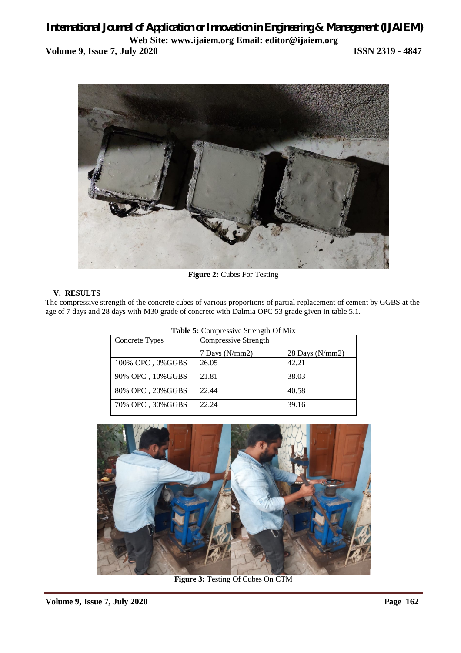# *International Journal of Application or Innovation in Engineering & Management (IJAIEM)* **Web Site: www.ijaiem.org Email: editor@ijaiem.org Volume 9, Issue 7, July 2020 ISSN 2319 - 4847**



**Figure 2:** Cubes For Testing

# **V. RESULTS**

The compressive strength of the concrete cubes of various proportions of partial replacement of cement by GGBS at the age of 7 days and 28 days with M30 grade of concrete with Dalmia OPC 53 grade given in table 5.1.

| Concrete Types    | Compressive Strength |                 |
|-------------------|----------------------|-----------------|
|                   | 7 Days (N/mm2)       | 28 Days (N/mm2) |
| 100% OPC, 0%GGBS  | 26.05                | 42.21           |
| 90% OPC, 10% GGBS | 21.81                | 38.03           |
| 80% OPC, 20% GGBS | 22.44                | 40.58           |
| 70% OPC, 30% GGBS | 22.24                | 39.16           |

|  |  |  | Table 5: Compressive Strength Of Mix |  |
|--|--|--|--------------------------------------|--|
|--|--|--|--------------------------------------|--|



**Figure 3:** Testing Of Cubes On CTM